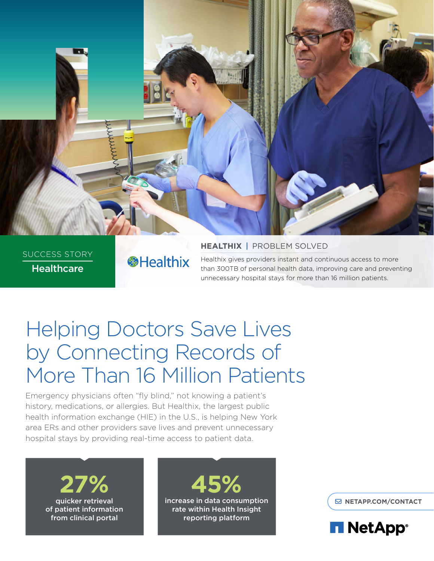

SUCCESS STORY **Healthcare** 

## **SHealthix**

#### **HEALTHIX** | PROBLEM SOLVED

Healthix gives providers instant and continuous access to more than 300TB of personal health data, improving care and preventing unnecessary hospital stays for more than 16 million patients.

# Helping Doctors Save Lives by Connecting Records of More Than 16 Million Patients

Emergency physicians often "fly blind," not knowing a patient's history, medications, or allergies. But Healthix, the largest public health information exchange (HIE) in the U.S., is helping New York area ERs and other providers save lives and prevent unnecessary hospital stays by providing real-time access to patient data.

**27%**  quicker retrieval of patient information from clinical portal

**45%**  increase in data consumption rate within Health Insight reporting platform

**[NETAPP.COM/CONTACT](http://www.netapp.com/us/contact-us/index.aspx)**

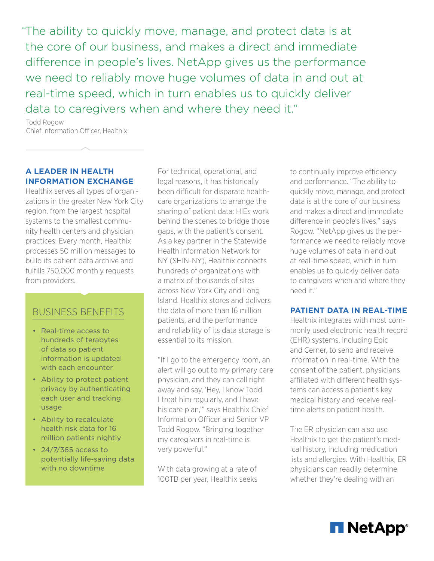"The ability to quickly move, manage, and protect data is at the core of our business, and makes a direct and immediate difference in people's lives. NetApp gives us the performance we need to reliably move huge volumes of data in and out at real-time speed, which in turn enables us to quickly deliver data to caregivers when and where they need it."

Todd Rogow Chief Information Officer, Healthix

#### **A LEADER IN HEALTH INFORMATION EXCHANGE**

Healthix serves all types of organizations in the greater New York City region, from the largest hospital systems to the smallest community health centers and physician practices. Every month, Healthix processes 50 million messages to build its patient data archive and fulfills 750,000 monthly requests from providers.

## BUSINESS BENEFITS

- Real-time access to hundreds of terabytes of data so patient information is updated with each encounter
- Ability to protect patient privacy by authenticating each user and tracking usage
- Ability to recalculate health risk data for 16 million patients nightly
- 24/7/365 access to potentially life-saving data with no downtime

For technical, operational, and legal reasons, it has historically been difficult for disparate healthcare organizations to arrange the sharing of patient data: HIEs work behind the scenes to bridge those gaps, with the patient's consent. As a key partner in the Statewide Health Information Network for NY (SHIN-NY), Healthix connects hundreds of organizations with a matrix of thousands of sites across New York City and Long Island. Healthix stores and delivers the data of more than 16 million patients, and the performance and reliability of its data storage is essential to its mission.

"If I go to the emergency room, an alert will go out to my primary care physician, and they can call right away and say, 'Hey, I know Todd. I treat him regularly, and I have his care plan,'" says Healthix Chief Information Officer and Senior VP Todd Rogow. "Bringing together my caregivers in real-time is very powerful."

With data growing at a rate of 100TB per year, Healthix seeks to continually improve efficiency and performance. "The ability to quickly move, manage, and protect data is at the core of our business and makes a direct and immediate difference in people's lives," says Rogow. "NetApp gives us the performance we need to reliably move huge volumes of data in and out at real-time speed, which in turn enables us to quickly deliver data to caregivers when and where they need it."

#### **PATIENT DATA IN REAL-TIME**

Healthix integrates with most commonly used electronic health record (EHR) systems, including Epic and Cerner, to send and receive information in real-time. With the consent of the patient, physicians affiliated with different health systems can access a patient's key medical history and receive realtime alerts on patient health.

The ER physician can also use Healthix to get the patient's medical history, including medication lists and allergies. With Healthix, ER physicians can readily determine whether they're dealing with an